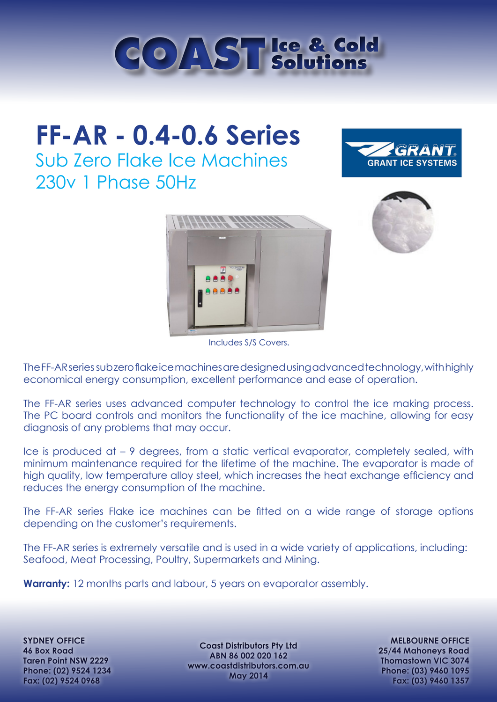

# **FF-AR - 0.4-0.6 Series** Sub Zero Flake Ice Machines

230v 1 Phase 50Hz







Includes S/S Covers.

The FF-AR series sub zero flake ice machines are designed using advanced technology, with highly economical energy consumption, excellent performance and ease of operation.

The FF-AR series uses advanced computer technology to control the ice making process. The PC board controls and monitors the functionality of the ice machine, allowing for easy diagnosis of any problems that may occur.

Ice is produced at – 9 degrees, from a static vertical evaporator, completely sealed, with minimum maintenance required for the lifetime of the machine. The evaporator is made of high quality, low temperature alloy steel, which increases the heat exchange efficiency and reduces the energy consumption of the machine.

The FF-AR series Flake ice machines can be fitted on a wide range of storage options depending on the customer's requirements.

The FF-AR series is extremely versatile and is used in a wide variety of applications, including: Seafood, Meat Processing, Poultry, Supermarkets and Mining.

**Warranty:** 12 months parts and labour, 5 years on evaporator assembly.

**SYDNEY OFFICE 46 Box Road Taren Point NSW 2229 Phone: (02) 9524 1234 Fax: (02) 9524 0968**

**Coast Distributors Pty Ltd ABN 86 002 020 162 www.coastdistributors.com.au May 2014**

**MELBOURNE OFFICE 25/44 Mahoneys Road Thomastown VIC 3074 Phone: (03) 9460 1095 Fax: (03) 9460 1357**